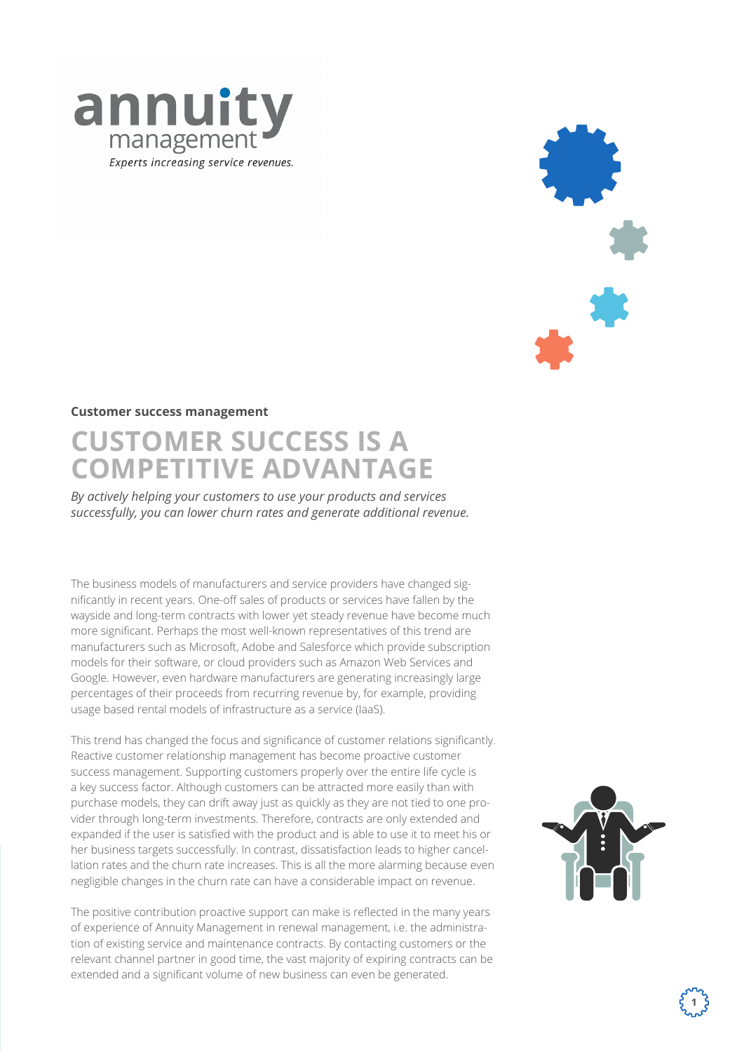



### **Customer success management**

# **CUSTOMER SUCCESS IS A COMPETITIVE ADVANTAGE**

*By actively helping your customers to use your products and services successfully, you can lower churn rates and generate additional revenue.* 

The business models of manufacturers and service providers have changed significantly in recent years. One-off sales of products or services have fallen by the wayside and long-term contracts with lower yet steady revenue have become much more significant. Perhaps the most well-known representatives of this trend are manufacturers such as Microsoft, Adobe and Salesforce which provide subscription models for their software, or cloud providers such as Amazon Web Services and Google. However, even hardware manufacturers are generating increasingly large percentages of their proceeds from recurring revenue by, for example, providing usage based rental models of infrastructure as a service (IaaS).

This trend has changed the focus and significance of customer relations significantly. Reactive customer relationship management has become proactive customer success management. Supporting customers properly over the entire life cycle is a key success factor. Although customers can be attracted more easily than with purchase models, they can drift away just as quickly as they are not tied to one provider through long-term investments. Therefore, contracts are only extended and expanded if the user is satisfied with the product and is able to use it to meet his or her business targets successfully. In contrast, dissatisfaction leads to higher cancellation rates and the churn rate increases. This is all the more alarming because even negligible changes in the churn rate can have a considerable impact on revenue.

The positive contribution proactive support can make is reflected in the many years of experience of Annuity Management in renewal management, i.e. the administration of existing service and maintenance contracts. By contacting customers or the relevant channel partner in good time, the vast majority of expiring contracts can be extended and a significant volume of new business can even be generated.

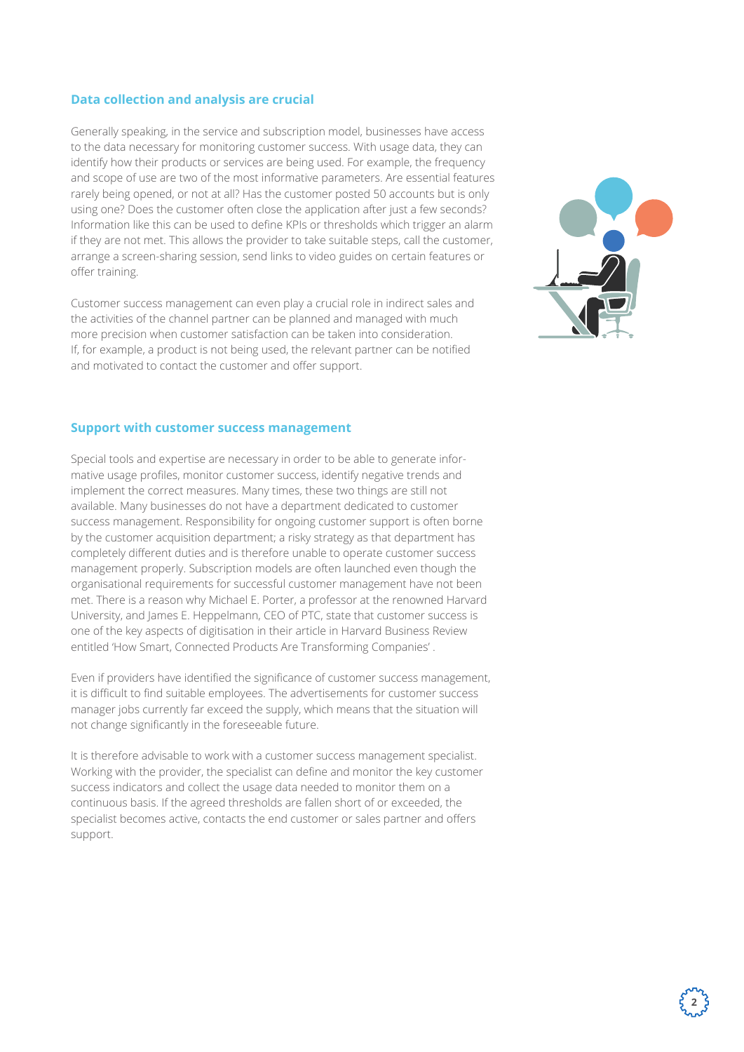# **Data collection and analysis are crucial**

Generally speaking, in the service and subscription model, businesses have access to the data necessary for monitoring customer success. With usage data, they can identify how their products or services are being used. For example, the frequency and scope of use are two of the most informative parameters. Are essential features rarely being opened, or not at all? Has the customer posted 50 accounts but is only using one? Does the customer often close the application after just a few seconds? Information like this can be used to define KPIs or thresholds which trigger an alarm if they are not met. This allows the provider to take suitable steps, call the customer, arrange a screen-sharing session, send links to video guides on certain features or offer training.

Customer success management can even play a crucial role in indirect sales and the activities of the channel partner can be planned and managed with much more precision when customer satisfaction can be taken into consideration. If, for example, a product is not being used, the relevant partner can be notified and motivated to contact the customer and offer support.



**2**

#### **Support with customer success management**

Special tools and expertise are necessary in order to be able to generate informative usage profiles, monitor customer success, identify negative trends and implement the correct measures. Many times, these two things are still not available. Many businesses do not have a department dedicated to customer success management. Responsibility for ongoing customer support is often borne by the customer acquisition department; a risky strategy as that department has completely different duties and is therefore unable to operate customer success management properly. Subscription models are often launched even though the organisational requirements for successful customer management have not been met. There is a reason why Michael E. Porter, a professor at the renowned Harvard University, and James E. Heppelmann, CEO of PTC, state that customer success is one of the key aspects of digitisation in their article in Harvard Business Review entitled 'How Smart, Connected Products Are Transforming Companies' .

Even if providers have identified the significance of customer success management, it is difficult to find suitable employees. The advertisements for customer success manager jobs currently far exceed the supply, which means that the situation will not change significantly in the foreseeable future.

It is therefore advisable to work with a customer success management specialist. Working with the provider, the specialist can define and monitor the key customer success indicators and collect the usage data needed to monitor them on a continuous basis. If the agreed thresholds are fallen short of or exceeded, the specialist becomes active, contacts the end customer or sales partner and offers support.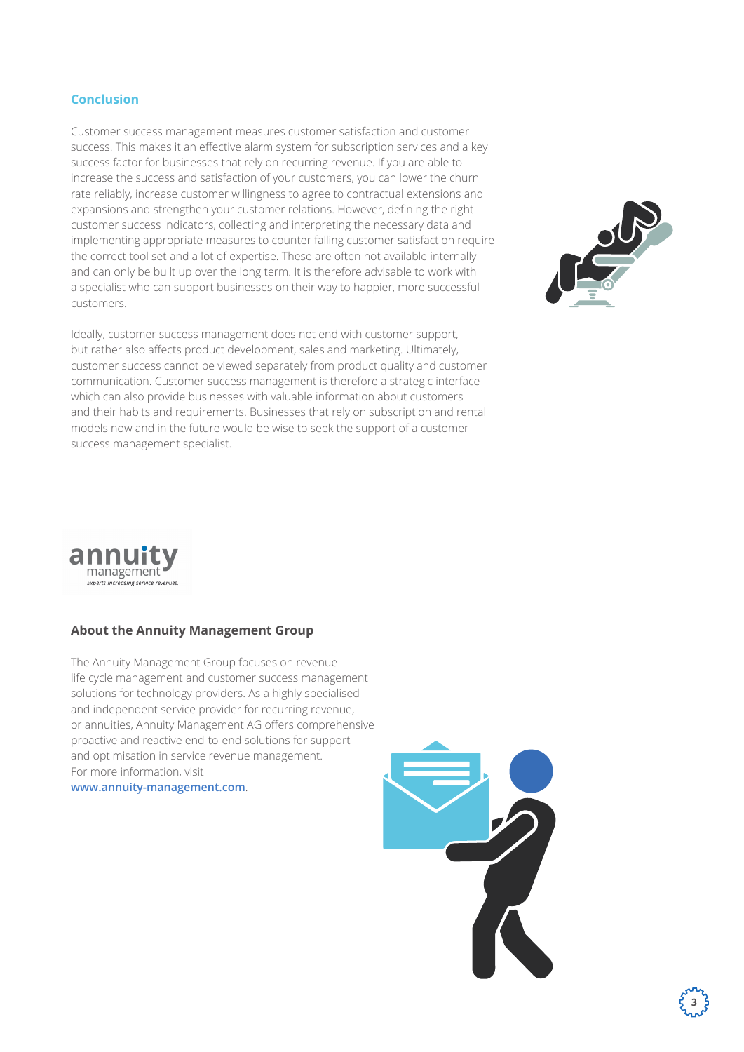# **Conclusion**

Customer success management measures customer satisfaction and customer success. This makes it an effective alarm system for subscription services and a key success factor for businesses that rely on recurring revenue. If you are able to increase the success and satisfaction of your customers, you can lower the churn rate reliably, increase customer willingness to agree to contractual extensions and expansions and strengthen your customer relations. However, defining the right customer success indicators, collecting and interpreting the necessary data and implementing appropriate measures to counter falling customer satisfaction require the correct tool set and a lot of expertise. These are often not available internally and can only be built up over the long term. It is therefore advisable to work with a specialist who can support businesses on their way to happier, more successful customers.

Ideally, customer success management does not end with customer support, but rather also affects product development, sales and marketing. Ultimately, customer success cannot be viewed separately from product quality and customer communication. Customer success management is therefore a strategic interface which can also provide businesses with valuable information about customers and their habits and requirements. Businesses that rely on subscription and rental models now and in the future would be wise to seek the support of a customer success management specialist.





# **About the Annuity Management Group**

The Annuity Management Group focuses on revenue life cycle management and customer success management solutions for technology providers. As a highly specialised and independent service provider for recurring revenue, or annuities, Annuity Management AG offers comprehensive proactive and reactive end-to-end solutions for support and optimisation in service revenue management. For more information, visit

**www.annuity-management.com**.